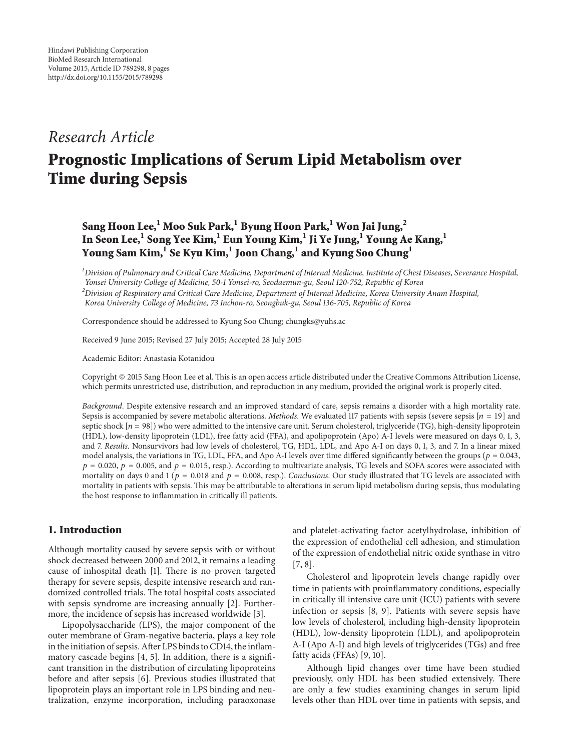## *Research Article*

# **Prognostic Implications of Serum Lipid Metabolism over Time during Sepsis**

### **Sang Hoon Lee,<sup>1</sup> Moo Suk Park,1 Byung Hoon Park,<sup>1</sup> Won Jai Jung,2 In Seon Lee,<sup>1</sup> Song Yee Kim,1 Eun Young Kim,1 Ji Ye Jung,<sup>1</sup> Young Ae Kang,<sup>1</sup> Young Sam Kim,<sup>1</sup> Se Kyu Kim,1 Joon Chang,1 and Kyung Soo Chung<sup>1</sup>**

*1 Division of Pulmonary and Critical Care Medicine, Department of Internal Medicine, Institute of Chest Diseases, Severance Hospital, Yonsei University College of Medicine, 50-1 Yonsei-ro, Seodaemun-gu, Seoul 120-752, Republic of Korea*

*2 Division of Respiratory and Critical Care Medicine, Department of Internal Medicine, Korea University Anam Hospital,*

*Korea University College of Medicine, 73 Inchon-ro, Seongbuk-gu, Seoul 136-705, Republic of Korea*

Correspondence should be addressed to Kyung Soo Chung; chungks@yuhs.ac

Received 9 June 2015; Revised 27 July 2015; Accepted 28 July 2015

Academic Editor: Anastasia Kotanidou

Copyright © 2015 Sang Hoon Lee et al. This is an open access article distributed under the Creative Commons Attribution License, which permits unrestricted use, distribution, and reproduction in any medium, provided the original work is properly cited.

*Background*. Despite extensive research and an improved standard of care, sepsis remains a disorder with a high mortality rate. Sepsis is accompanied by severe metabolic alterations. *Methods*. We evaluated 117 patients with sepsis (severe sepsis  $[n = 19]$  and septic shock  $[n = 98]$ ) who were admitted to the intensive care unit. Serum cholesterol, triglyceride (TG), high-density lipoprotein (HDL), low-density lipoprotein (LDL), free fatty acid (FFA), and apolipoprotein (Apo) A-I levels were measured on days 0, 1, 3, and 7. *Results*. Nonsurvivors had low levels of cholesterol, TG, HDL, LDL, and Apo A-I on days 0, 1, 3, and 7. In a linear mixed model analysis, the variations in TG, LDL, FFA, and Apo A-I levels over time differed significantly between the groups ( $p = 0.043$ ,  $p = 0.020$ ,  $p = 0.005$ , and  $p = 0.015$ , resp.). According to multivariate analysis, TG levels and SOFA scores were associated with mortality on days 0 and 1 ( $p = 0.018$  and  $p = 0.008$ , resp.). *Conclusions*. Our study illustrated that TG levels are associated with mortality in patients with sepsis. This may be attributable to alterations in serum lipid metabolism during sepsis, thus modulating the host response to inflammation in critically ill patients.

#### **1. Introduction**

Although mortality caused by severe sepsis with or without shock decreased between 2000 and 2012, it remains a leading cause of inhospital death [1]. There is no proven targeted therapy for severe sepsis, despite intensive research and randomized controlled trials. The total hospital costs associated with sepsis syndrome are increasing annually [2]. Furthermore, the incidence of sepsis has increased worldwide [3].

Lipopolysaccharide (LPS), the major component of the outer membrane of Gram-negative bacteria, plays a key role in the initiation of sepsis. After LPS binds to CD14, the inflammatory cascade begins [4, 5]. In addition, there is a significant transition in the distribution of circulating lipoproteins before and after sepsis [6]. Previous studies illustrated that lipoprotein plays an important role in LPS binding and neutralization, enzyme incorporation, including paraoxonase

and platelet-activating factor acetylhydrolase, inhibition of the expression of endothelial cell adhesion, and stimulation of the expression of endothelial nitric oxide synthase in vitro [7, 8].

Cholesterol and lipoprotein levels change rapidly over time in patients with proinflammatory conditions, especially in critically ill intensive care unit (ICU) patients with severe infection or sepsis [8, 9]. Patients with severe sepsis have low levels of cholesterol, including high-density lipoprotein (HDL), low-density lipoprotein (LDL), and apolipoprotein A-I (Apo A-I) and high levels of triglycerides (TGs) and free fatty acids (FFAs) [9, 10].

Although lipid changes over time have been studied previously, only HDL has been studied extensively. There are only a few studies examining changes in serum lipid levels other than HDL over time in patients with sepsis, and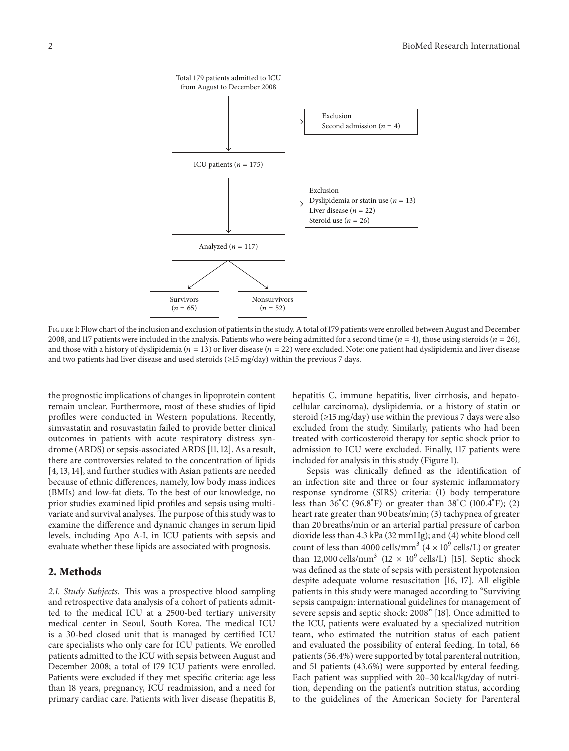

FIGURE 1: Flow chart of the inclusion and exclusion of patients in the study. A total of 179 patients were enrolled between August and December 2008, and 117 patients were included in the analysis. Patients who were being admitted for a second time ( $n = 4$ ), those using steroids ( $n = 26$ ), and those with a history of dyslipidemia ( $n = 13$ ) or liver disease ( $n = 22$ ) were excluded. Note: one patient had dyslipidemia and liver disease and two patients had liver disease and used steroids (≥15 mg/day) within the previous 7 days.

the prognostic implications of changes in lipoprotein content remain unclear. Furthermore, most of these studies of lipid profiles were conducted in Western populations. Recently, simvastatin and rosuvastatin failed to provide better clinical outcomes in patients with acute respiratory distress syndrome (ARDS) or sepsis-associated ARDS [11, 12]. As a result, there are controversies related to the concentration of lipids [4, 13, 14], and further studies with Asian patients are needed because of ethnic differences, namely, low body mass indices (BMIs) and low-fat diets. To the best of our knowledge, no prior studies examined lipid profiles and sepsis using multivariate and survival analyses.The purpose of this study was to examine the difference and dynamic changes in serum lipid levels, including Apo A-I, in ICU patients with sepsis and evaluate whether these lipids are associated with prognosis.

#### **2. Methods**

*2.1. Study Subjects.* This was a prospective blood sampling and retrospective data analysis of a cohort of patients admitted to the medical ICU at a 2500-bed tertiary university medical center in Seoul, South Korea. The medical ICU is a 30-bed closed unit that is managed by certified ICU care specialists who only care for ICU patients. We enrolled patients admitted to the ICU with sepsis between August and December 2008; a total of 179 ICU patients were enrolled. Patients were excluded if they met specific criteria: age less than 18 years, pregnancy, ICU readmission, and a need for primary cardiac care. Patients with liver disease (hepatitis B, hepatitis C, immune hepatitis, liver cirrhosis, and hepatocellular carcinoma), dyslipidemia, or a history of statin or steroid ( $\geq$ 15 mg/day) use within the previous 7 days were also excluded from the study. Similarly, patients who had been treated with corticosteroid therapy for septic shock prior to admission to ICU were excluded. Finally, 117 patients were included for analysis in this study (Figure 1).

Sepsis was clinically defined as the identification of an infection site and three or four systemic inflammatory response syndrome (SIRS) criteria: (1) body temperature less than 36<sup>∘</sup> C (96.8<sup>∘</sup> F) or greater than 38<sup>∘</sup> C (100.4<sup>∘</sup> F); (2) heart rate greater than 90 beats/min; (3) tachypnea of greater than 20 breaths/min or an arterial partial pressure of carbon dioxide less than 4.3 kPa (32 mmHg); and (4) white blood cell count of less than 4000 cells/mm<sup>3</sup> ( $4 \times 10^9$  cells/L) or greater than 12,000 cells/mm<sup>3</sup> (12  $\times$  10<sup>9</sup> cells/L) [15]. Septic shock was defined as the state of sepsis with persistent hypotension despite adequate volume resuscitation [16, 17]. All eligible patients in this study were managed according to "Surviving sepsis campaign: international guidelines for management of severe sepsis and septic shock: 2008" [18]. Once admitted to the ICU, patients were evaluated by a specialized nutrition team, who estimated the nutrition status of each patient and evaluated the possibility of enteral feeding. In total, 66 patients (56.4%) were supported by total parenteral nutrition, and 51 patients (43.6%) were supported by enteral feeding. Each patient was supplied with 20–30 kcal/kg/day of nutrition, depending on the patient's nutrition status, according to the guidelines of the American Society for Parenteral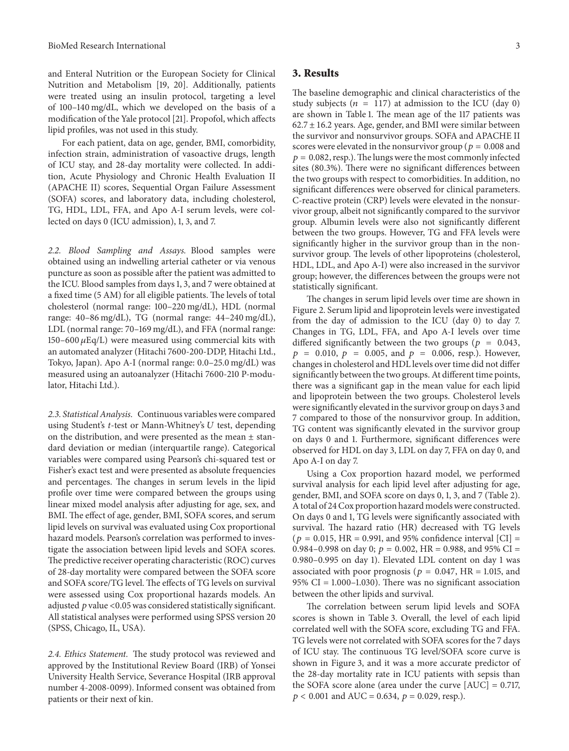and Enteral Nutrition or the European Society for Clinical Nutrition and Metabolism [19, 20]. Additionally, patients were treated using an insulin protocol, targeting a level of 100–140 mg/dL, which we developed on the basis of a modification of the Yale protocol [21]. Propofol, which affects lipid profiles, was not used in this study.

For each patient, data on age, gender, BMI, comorbidity, infection strain, administration of vasoactive drugs, length of ICU stay, and 28-day mortality were collected. In addition, Acute Physiology and Chronic Health Evaluation II (APACHE II) scores, Sequential Organ Failure Assessment (SOFA) scores, and laboratory data, including cholesterol, TG, HDL, LDL, FFA, and Apo A-I serum levels, were collected on days 0 (ICU admission), 1, 3, and 7.

*2.2. Blood Sampling and Assays.* Blood samples were obtained using an indwelling arterial catheter or via venous puncture as soon as possible after the patient was admitted to the ICU. Blood samples from days 1, 3, and 7 were obtained at a fixed time (5 AM) for all eligible patients. The levels of total cholesterol (normal range: 100–220 mg/dL), HDL (normal range: 40–86 mg/dL), TG (normal range: 44–240 mg/dL), LDL (normal range: 70–169 mg/dL), and FFA (normal range:  $150-600 \,\mu\text{Eq/L}$  were measured using commercial kits with an automated analyzer (Hitachi 7600-200-DDP, Hitachi Ltd., Tokyo, Japan). Apo A-I (normal range: 0.0–25.0 mg/dL) was measured using an autoanalyzer (Hitachi 7600-210 P-modulator, Hitachi Ltd.).

*2.3. Statistical Analysis.* Continuous variables were compared using Student's *t*-test or Mann-Whitney's *U* test, depending on the distribution, and were presented as the mean  $\pm$  standard deviation or median (interquartile range). Categorical variables were compared using Pearson's chi-squared test or Fisher's exact test and were presented as absolute frequencies and percentages. The changes in serum levels in the lipid profile over time were compared between the groups using linear mixed model analysis after adjusting for age, sex, and BMI. The effect of age, gender, BMI, SOFA scores, and serum lipid levels on survival was evaluated using Cox proportional hazard models. Pearson's correlation was performed to investigate the association between lipid levels and SOFA scores. The predictive receiver operating characteristic (ROC) curves of 28-day mortality were compared between the SOFA score and SOFA score/TG level. The effects of TG levels on survival were assessed using Cox proportional hazards models. An adjusted  $p$  value <0.05 was considered statistically significant. All statistical analyses were performed using SPSS version 20 (SPSS, Chicago, IL, USA).

*2.4. Ethics Statement.* The study protocol was reviewed and approved by the Institutional Review Board (IRB) of Yonsei University Health Service, Severance Hospital (IRB approval number 4-2008-0099). Informed consent was obtained from patients or their next of kin.

#### **3. Results**

The baseline demographic and clinical characteristics of the study subjects ( $n = 117$ ) at admission to the ICU (day 0) are shown in Table 1. The mean age of the 117 patients was  $62.7 \pm 16.2$  years. Age, gender, and BMI were similar between the survivor and nonsurvivor groups. SOFA and APACHE II scores were elevated in the nonsurvivor group ( $p = 0.008$  and  $p = 0.082$ , resp.). The lungs were the most commonly infected sites (80.3%). There were no significant differences between the two groups with respect to comorbidities. In addition, no significant differences were observed for clinical parameters. C-reactive protein (CRP) levels were elevated in the nonsurvivor group, albeit not significantly compared to the survivor group. Albumin levels were also not significantly different between the two groups. However, TG and FFA levels were significantly higher in the survivor group than in the nonsurvivor group. The levels of other lipoproteins (cholesterol, HDL, LDL, and Apo A-I) were also increased in the survivor group; however, the differences between the groups were not statistically significant.

The changes in serum lipid levels over time are shown in Figure 2. Serum lipid and lipoprotein levels were investigated from the day of admission to the ICU (day 0) to day 7. Changes in TG, LDL, FFA, and Apo A-I levels over time differed significantly between the two groups ( $p = 0.043$ ,  $p = 0.010, p = 0.005, \text{ and } p = 0.006, \text{ resp.}.$  However, changes in cholesterol and HDL levels over time did not differ significantly between the two groups. At different time points, there was a significant gap in the mean value for each lipid and lipoprotein between the two groups. Cholesterol levels were significantly elevated in the survivor group on days 3 and 7 compared to those of the nonsurvivor group. In addition, TG content was significantly elevated in the survivor group on days 0 and 1. Furthermore, significant differences were observed for HDL on day 3, LDL on day 7, FFA on day 0, and Apo A-I on day 7.

Using a Cox proportion hazard model, we performed survival analysis for each lipid level after adjusting for age, gender, BMI, and SOFA score on days 0, 1, 3, and 7 (Table 2). A total of 24 Cox proportion hazard models were constructed. On days 0 and 1, TG levels were significantly associated with survival. The hazard ratio (HR) decreased with TG levels  $(p = 0.015, HR = 0.991, and 95% confidence interval [CI] =$ 0.984–0.998 on day 0;  $p = 0.002$ , HR = 0.988, and 95% CI = 0.980–0.995 on day 1). Elevated LDL content on day 1 was associated with poor prognosis ( $p = 0.047$ , HR = 1.015, and 95% CI = 1.000–1.030). There was no significant association between the other lipids and survival.

The correlation between serum lipid levels and SOFA scores is shown in Table 3. Overall, the level of each lipid correlated well with the SOFA score, excluding TG and FFA. TG levels were not correlated with SOFA scores for the 7 days of ICU stay. The continuous TG level/SOFA score curve is shown in Figure 3, and it was a more accurate predictor of the 28-day mortality rate in ICU patients with sepsis than the SOFA score alone (area under the curve [AUC] = 0.717,  $p < 0.001$  and AUC = 0.634,  $p = 0.029$ , resp.).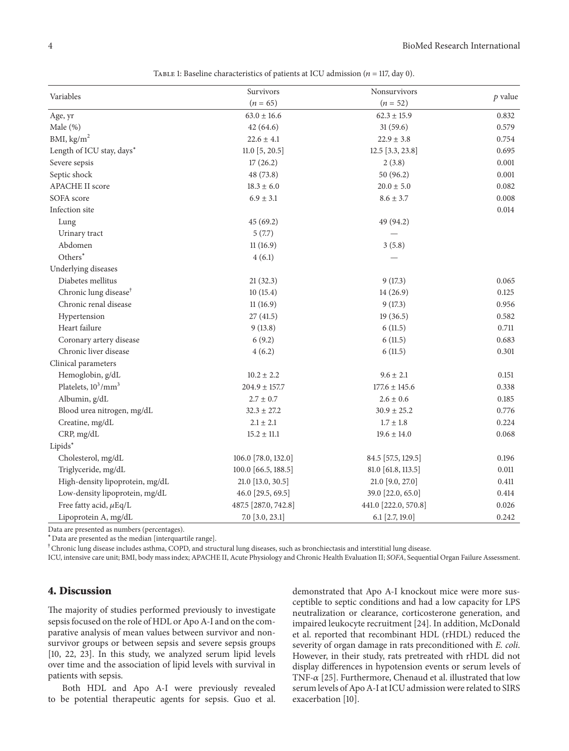|                                   | Survivors            | Nonsurvivors         | $p$ value |
|-----------------------------------|----------------------|----------------------|-----------|
| Variables                         | $(n = 65)$           | $(n = 52)$           |           |
| Age, yr                           | $63.0 \pm 16.6$      | $62.3 \pm 15.9$      | 0.832     |
| Male $(\%)$                       | 42(64.6)             | 31(59.6)             | 0.579     |
| BMI, $\text{kg/m}^2$              | $22.6 \pm 4.1$       | $22.9 \pm 3.8$       | 0.754     |
| Length of ICU stay, days*         | 11.0 [5, 20.5]       | 12.5 [3.3, 23.8]     | 0.695     |
| Severe sepsis                     | 17(26.2)             | 2(3.8)               | 0.001     |
| Septic shock                      | 48 (73.8)            | 50 (96.2)            | 0.001     |
| <b>APACHE II score</b>            | $18.3 \pm 6.0$       | $20.0 \pm 5.0$       | 0.082     |
| SOFA score                        | $6.9 \pm 3.1$        | $8.6 \pm 3.7$        | 0.008     |
| Infection site                    |                      |                      | 0.014     |
| Lung                              | 45 (69.2)            | 49 (94.2)            |           |
| Urinary tract                     | 5(7.7)               |                      |           |
| Abdomen                           | 11(16.9)             | 3(5.8)               |           |
| Others <sup>*</sup>               | 4(6.1)               |                      |           |
| Underlying diseases               |                      |                      |           |
| Diabetes mellitus                 | 21(32.3)             | 9(17.3)              | 0.065     |
| Chronic lung disease <sup>†</sup> | 10(15.4)             | 14 (26.9)            | 0.125     |
| Chronic renal disease             | 11(16.9)             | 9(17.3)              | 0.956     |
| Hypertension                      | 27(41.5)             | 19(36.5)             | 0.582     |
| Heart failure                     | 9(13.8)              | 6(11.5)              | 0.711     |
| Coronary artery disease           | 6(9.2)               | 6(11.5)              | 0.683     |
| Chronic liver disease             | 4(6.2)               | 6(11.5)              | 0.301     |
| Clinical parameters               |                      |                      |           |
| Hemoglobin, g/dL                  | $10.2 \pm 2.2$       | $9.6 \pm 2.1$        | 0.151     |
| Platelets, $10^3/\text{mm}^3$     | $204.9 \pm 157.7$    | $177.6 \pm 145.6$    | 0.338     |
| Albumin, g/dL                     | $2.7 \pm 0.7$        | $2.6 \pm 0.6$        | 0.185     |
| Blood urea nitrogen, mg/dL        | $32.3 \pm 27.2$      | $30.9 \pm 25.2$      | 0.776     |
| Creatine, mg/dL                   | $2.1 \pm 2.1$        | $1.7 \pm 1.8$        | 0.224     |
| CRP, mg/dL                        | $15.2 \pm 11.1$      | $19.6 \pm 14.0$      | 0.068     |
| Lipids*                           |                      |                      |           |
| Cholesterol, mg/dL                | 106.0 [78.0, 132.0]  | 84.5 [57.5, 129.5]   | 0.196     |
| Triglyceride, mg/dL               | 100.0 [66.5, 188.5]  | 81.0 [61.8, 113.5]   | 0.011     |
| High-density lipoprotein, mg/dL   | 21.0 [13.0, 30.5]    | 21.0 [9.0, 27.0]     | 0.411     |
| Low-density lipoprotein, mg/dL    | 46.0 [29.5, 69.5]    | 39.0 [22.0, 65.0]    | 0.414     |
| Free fatty acid, $\mu$ Eq/L       | 487.5 [287.0, 742.8] | 441.0 [222.0, 570.8] | 0.026     |
| Lipoprotein A, mg/dL              | 7.0 [3.0, 23.1]      | 6.1 [2.7, 19.0]      | 0.242     |

TABLE 1: Baseline characteristics of patients at ICU admission ( $n = 117$ , day 0).

Data are presented as numbers (percentages).

<sup>∗</sup>Data are presented as the median [interquartile range].

 $^\dagger$ Chronic lung disease includes asthma, COPD, and structural lung diseases, such as bronchiectasis and interstitial lung disease.

ICU, intensive care unit; BMI, body mass index; APACHE II, Acute Physiology and Chronic Health Evaluation II; *SOFA*, Sequential Organ Failure Assessment.

#### **4. Discussion**

The majority of studies performed previously to investigate sepsis focused on the role of HDL or Apo A-I and on the comparative analysis of mean values between survivor and nonsurvivor groups or between sepsis and severe sepsis groups [10, 22, 23]. In this study, we analyzed serum lipid levels over time and the association of lipid levels with survival in patients with sepsis.

Both HDL and Apo A-I were previously revealed to be potential therapeutic agents for sepsis. Guo et al. demonstrated that Apo A-I knockout mice were more susceptible to septic conditions and had a low capacity for LPS neutralization or clearance, corticosterone generation, and impaired leukocyte recruitment [24]. In addition, McDonald et al. reported that recombinant HDL (rHDL) reduced the severity of organ damage in rats preconditioned with *E. coli*. However, in their study, rats pretreated with rHDL did not display differences in hypotension events or serum levels of TNF- $\alpha$  [25]. Furthermore, Chenaud et al. illustrated that low serum levels of Apo A-I at ICU admission were related to SIRS exacerbation [10].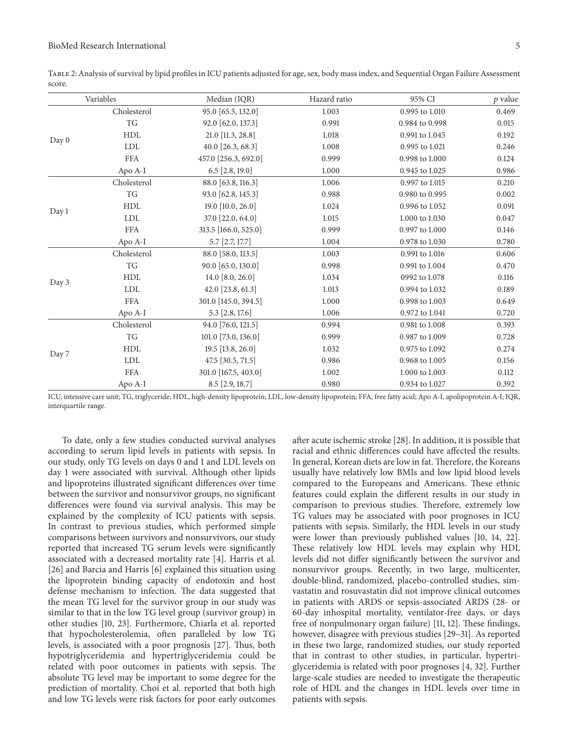Table 2: Analysis of survival by lipid profiles in ICU patients adjusted for age, sex, body mass index, and Sequential Organ Failure Assessment score.

|       | Variables                | Median (IQR)         | Hazard ratio | 95% CI         | $p$ value |
|-------|--------------------------|----------------------|--------------|----------------|-----------|
| Day 0 | Cholesterol              | 95.0 [65.5, 132.0]   | 1.003        | 0.995 to 1.010 | 0.469     |
|       | <b>TG</b>                | 92.0 [62.0, 137.3]   | 0.991        | 0.984 to 0.998 | 0.015     |
|       | HDL                      | 21.0 [11.3, 28.8]    | 1.018        | 0.991 to 1.045 | 0.192     |
|       | <b>LDL</b>               | $40.0$ [26.3, 68.3]  | 1.008        | 0.995 to 1.021 | 0.246     |
|       | <b>FFA</b>               | 457.0 [256.3, 692.0] | 0.999        | 0.998 to 1.000 | 0.124     |
|       | Apo A-I                  | $6.5$ [2.8, 19.0]    | 1.000        | 0.945 to 1.025 | 0.986     |
| Day 1 | Cholesterol              | 88.0 [63.8, 116.3]   | 1.006        | 0.997 to 1.015 | 0.210     |
|       | $\mathcal{T}\mathcal{G}$ | 93.0 [62.8, 145.3]   | 0.988        | 0.980 to 0.995 | 0.002     |
|       | HDL                      | $19.0$ [10.0, 26.0]  | 1.024        | 0.996 to 1.052 | 0.091     |
|       | <b>LDL</b>               | 37.0 [22.0, 64.0]    | 1.015        | 1.000 to 1.030 | 0.047     |
|       | <b>FFA</b>               | 313.5 [166.0, 525.0] | 0.999        | 0.997 to 1.000 | 0.146     |
|       | Apo A-I                  | 5.7 [2.7, 17.7]      | 1.004        | 0.978 to 1.030 | 0.780     |
| Day 3 | Cholesterol              | 88.0 [58.0, 113.5]   | 1.003        | 0.991 to 1.016 | 0.606     |
|       | TG                       | 90.0 [65.0, 130.0]   | 0.998        | 0.991 to 1.004 | 0.470     |
|       | <b>HDL</b>               | 14.0 $[8.0, 26.0]$   | 1.034        | 0992 to 1.078  | 0.116     |
|       | <b>LDL</b>               | 42.0 [23.8, 61.3]    | 1.013        | 0.994 to 1.032 | 0.189     |
|       | <b>FFA</b>               | 301.0 [145.0, 394.5] | 1.000        | 0.998 to 1.003 | 0.649     |
|       | Apo A-I                  | 5.3 [2.8, 17.6]      | 1.006        | 0.972 to 1.041 | 0.720     |
| Day 7 | Cholesterol              | 94.0 [76.0, 121.5]   | 0.994        | 0.981 to 1.008 | 0.393     |
|       | TG                       | 101.0 [73.0, 136.0]  | 0.999        | 0.987 to 1.009 | 0.728     |
|       | <b>HDL</b>               | 19.5 [13.8, 26.0]    | 1.032        | 0.975 to 1.092 | 0.274     |
|       | <b>LDL</b>               | 47.5 [30.5, 71.5]    | 0.986        | 0.968 to 1.005 | 0.156     |
|       | <b>FFA</b>               | 301.0 [167.5, 403.0] | 1.002        | 1.000 to 1.003 | 0.112     |
|       | Apo A-I                  | 8.5 [2.9, 18.7]      | 0.980        | 0.934 to 1.027 | 0.392     |

ICU, intensive care unit; TG, triglyceride; HDL, high-density lipoprotein; LDL, low-density lipoprotein; FFA, free fatty acid; Apo A-I, apolipoprotein A-I; IQR, interquartile range.

To date, only a few studies conducted survival analyses according to serum lipid levels in patients with sepsis. In our study, only TG levels on days 0 and 1 and LDL levels on day 1 were associated with survival. Although other lipids and lipoproteins illustrated significant differences over time between the survivor and nonsurvivor groups, no significant differences were found via survival analysis. This may be explained by the complexity of ICU patients with sepsis. In contrast to previous studies, which performed simple comparisons between survivors and nonsurvivors, our study reported that increased TG serum levels were significantly associated with a decreased mortality rate [4]. Harris et al. [26] and Barcia and Harris [6] explained this situation using the lipoprotein binding capacity of endotoxin and host defense mechanism to infection. The data suggested that the mean TG level for the survivor group in our study was similar to that in the low TG level group (survivor group) in other studies [10, 23]. Furthermore, Chiarla et al. reported that hypocholesterolemia, often paralleled by low TG levels, is associated with a poor prognosis [27]. Thus, both hypotriglyceridemia and hypertriglyceridemia could be related with poor outcomes in patients with sepsis. The absolute TG level may be important to some degree for the prediction of mortality. Choi et al. reported that both high and low TG levels were risk factors for poor early outcomes

after acute ischemic stroke [28]. In addition, it is possible that racial and ethnic differences could have affected the results. In general, Korean diets are low in fat. Therefore, the Koreans usually have relatively low BMIs and low lipid blood levels compared to the Europeans and Americans. These ethnic features could explain the different results in our study in comparison to previous studies. Therefore, extremely low TG values may be associated with poor prognoses in ICU patients with sepsis. Similarly, the HDL levels in our study were lower than previously published values [10, 14, 22]. These relatively low HDL levels may explain why HDL levels did not differ significantly between the survivor and nonsurvivor groups. Recently, in two large, multicenter, double-blind, randomized, placebo-controlled studies, simvastatin and rosuvastatin did not improve clinical outcomes in patients with ARDS or sepsis-associated ARDS (28- or 60-day inhospital mortality, ventilator-free days, or days free of nonpulmonary organ failure) [11, 12]. These findings, however, disagree with previous studies [29–31]. As reported in these two large, randomized studies, our study reported that in contrast to other studies, in particular, hypertriglyceridemia is related with poor prognoses [4, 32]. Further large-scale studies are needed to investigate the therapeutic role of HDL and the changes in HDL levels over time in patients with sepsis.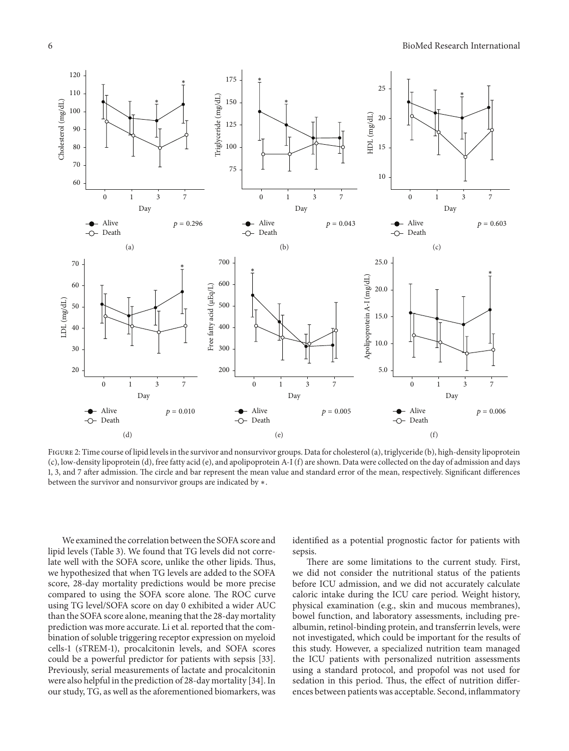

FIGURE 2: Time course of lipid levels in the survivor and nonsurvivor groups. Data for cholesterol (a), triglyceride (b), high-density lipoprotein (c), low-density lipoprotein (d), free fatty acid (e), and apolipoprotein A-I (f) are shown. Data were collected on the day of admission and days 1, 3, and 7 after admission. The circle and bar represent the mean value and standard error of the mean, respectively. Significant differences between the survivor and nonsurvivor groups are indicated by ∗.

We examined the correlation between the SOFA score and lipid levels (Table 3). We found that TG levels did not correlate well with the SOFA score, unlike the other lipids. Thus, we hypothesized that when TG levels are added to the SOFA score, 28-day mortality predictions would be more precise compared to using the SOFA score alone. The ROC curve using TG level/SOFA score on day 0 exhibited a wider AUC than the SOFA score alone, meaning that the 28-day mortality prediction was more accurate. Li et al. reported that the combination of soluble triggering receptor expression on myeloid cells-1 (sTREM-1), procalcitonin levels, and SOFA scores could be a powerful predictor for patients with sepsis [33]. Previously, serial measurements of lactate and procalcitonin were also helpful in the prediction of 28-day mortality [34]. In our study, TG, as well as the aforementioned biomarkers, was identified as a potential prognostic factor for patients with sepsis.

There are some limitations to the current study. First, we did not consider the nutritional status of the patients before ICU admission, and we did not accurately calculate caloric intake during the ICU care period. Weight history, physical examination (e.g., skin and mucous membranes), bowel function, and laboratory assessments, including prealbumin, retinol-binding protein, and transferrin levels, were not investigated, which could be important for the results of this study. However, a specialized nutrition team managed the ICU patients with personalized nutrition assessments using a standard protocol, and propofol was not used for sedation in this period. Thus, the effect of nutrition differences between patients was acceptable. Second, inflammatory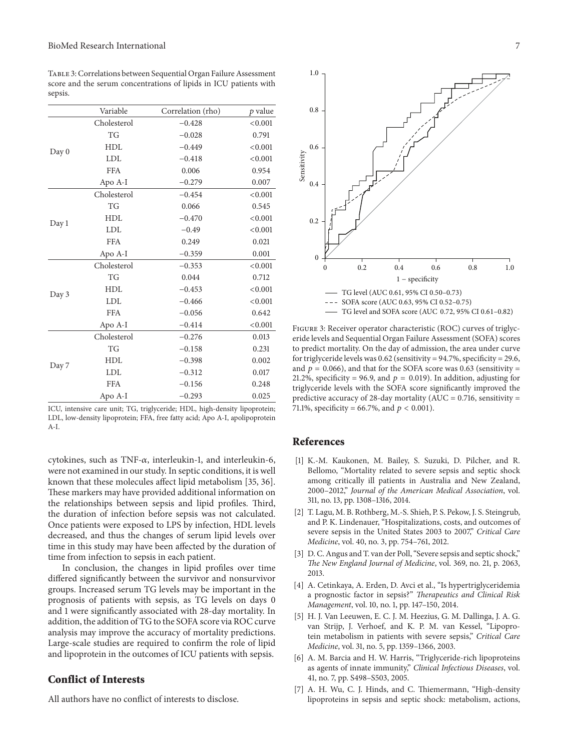Table 3: Correlations between Sequential Organ Failure Assessment score and the serum concentrations of lipids in ICU patients with sepsis.

|       | Variable    | Correlation (rho) | $p$ value |
|-------|-------------|-------------------|-----------|
| Day 0 | Cholesterol | $-0.428$          | < 0.001   |
|       | TG          | $-0.028$          | 0.791     |
|       | <b>HDL</b>  | $-0.449$          | < 0.001   |
|       | <b>LDL</b>  | $-0.418$          | < 0.001   |
|       | <b>FFA</b>  | 0.006             | 0.954     |
|       | Apo A-I     | $-0.279$          | 0.007     |
|       | Cholesterol | $-0.454$          | < 0.001   |
| Day 1 | <b>TG</b>   | 0.066             | 0.545     |
|       | <b>HDL</b>  | $-0.470$          | < 0.001   |
|       | <b>LDL</b>  | $-0.49$           | < 0.001   |
|       | <b>FFA</b>  | 0.249             | 0.021     |
|       | Apo A-I     | $-0.359$          | 0.001     |
| Day 3 | Cholesterol | $-0.353$          | < 0.001   |
|       | <b>TG</b>   | 0.044             | 0.712     |
|       | <b>HDL</b>  | $-0.453$          | < 0.001   |
|       | <b>LDL</b>  | $-0.466$          | < 0.001   |
|       | <b>FFA</b>  | $-0.056$          | 0.642     |
|       | Apo A-I     | $-0.414$          | < 0.001   |
| Day 7 | Cholesterol | $-0.276$          | 0.013     |
|       | <b>TG</b>   | $-0.158$          | 0.231     |
|       | <b>HDL</b>  | $-0.398$          | 0.002     |
|       | <b>LDL</b>  | $-0.312$          | 0.017     |
|       | <b>FFA</b>  | $-0.156$          | 0.248     |
|       | Apo A-I     | $-0.293$          | 0.025     |

ICU, intensive care unit; TG, triglyceride; HDL, high-density lipoprotein; LDL, low-density lipoprotein; FFA, free fatty acid; Apo A-I, apolipoprotein  $A-I$ 

cytokines, such as TNF- $\alpha$ , interleukin-1, and interleukin-6, were not examined in our study. In septic conditions, it is well known that these molecules affect lipid metabolism [35, 36]. These markers may have provided additional information on the relationships between sepsis and lipid profiles. Third, the duration of infection before sepsis was not calculated. Once patients were exposed to LPS by infection, HDL levels decreased, and thus the changes of serum lipid levels over time in this study may have been affected by the duration of time from infection to sepsis in each patient.

In conclusion, the changes in lipid profiles over time differed significantly between the survivor and nonsurvivor groups. Increased serum TG levels may be important in the prognosis of patients with sepsis, as TG levels on days 0 and 1 were significantly associated with 28-day mortality. In addition, the addition of TG to the SOFA score via ROC curve analysis may improve the accuracy of mortality predictions. Large-scale studies are required to confirm the role of lipid and lipoprotein in the outcomes of ICU patients with sepsis.

#### **Conflict of Interests**

All authors have no conflict of interests to disclose.



FIGURE 3: Receiver operator characteristic (ROC) curves of triglyceride levels and Sequential Organ Failure Assessment (SOFA) scores to predict mortality. On the day of admission, the area under curve for triglyceride levels was 0.62 (sensitivity = 94.7%, specificity = 29.6, and  $p = 0.066$ ), and that for the SOFA score was 0.63 (sensitivity = 21.2%, specificity = 96.9, and  $p = 0.019$ ). In addition, adjusting for triglyceride levels with the SOFA score significantly improved the predictive accuracy of 28-day mortality ( $AUC = 0.716$ , sensitivity = 71.1%, specificity = 66.7%, and  $p < 0.001$ ).

#### **References**

- [1] K.-M. Kaukonen, M. Bailey, S. Suzuki, D. Pilcher, and R. Bellomo, "Mortality related to severe sepsis and septic shock among critically ill patients in Australia and New Zealand, 2000–2012," *Journal of the American Medical Association*, vol. 311, no. 13, pp. 1308–1316, 2014.
- [2] T. Lagu, M. B. Rothberg, M.-S. Shieh, P. S. Pekow, J. S. Steingrub, and P. K. Lindenauer, "Hospitalizations, costs, and outcomes of severe sepsis in the United States 2003 to 2007," *Critical Care Medicine*, vol. 40, no. 3, pp. 754–761, 2012.
- [3] D. C. Angus and T. van der Poll, "Severe sepsis and septic shock," *The New England Journal of Medicine*, vol. 369, no. 21, p. 2063, 2013.
- [4] A. Cetinkaya, A. Erden, D. Avci et al., "Is hypertriglyceridemia a prognostic factor in sepsis?" *Therapeutics and Clinical Risk Management*, vol. 10, no. 1, pp. 147–150, 2014.
- [5] H. J. Van Leeuwen, E. C. J. M. Heezius, G. M. Dallinga, J. A. G. van Strijp, J. Verhoef, and K. P. M. van Kessel, "Lipoprotein metabolism in patients with severe sepsis," *Critical Care Medicine*, vol. 31, no. 5, pp. 1359–1366, 2003.
- [6] A. M. Barcia and H. W. Harris, "Triglyceride-rich lipoproteins as agents of innate immunity," *Clinical Infectious Diseases*, vol. 41, no. 7, pp. S498–S503, 2005.
- [7] A. H. Wu, C. J. Hinds, and C. Thiemermann, "High-density lipoproteins in sepsis and septic shock: metabolism, actions,